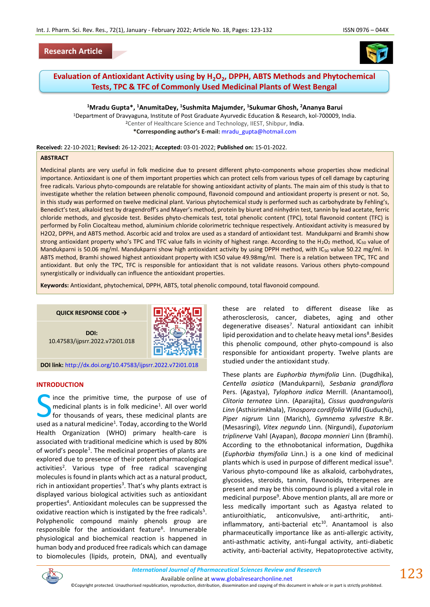



# **Evaluation of Antioxidant Activity using by H2O<sup>2</sup> , DPPH, ABTS Methods and Phytochemical Tests, TPC & TFC of Commonly Used Medicinal Plants of West Bengal**

**<sup>1</sup>Mradu Gupta\*, <sup>1</sup>AnumitaDey, <sup>1</sup>Sushmita Majumder, <sup>1</sup>Sukumar Ghosh, <sup>2</sup>Ananya Barui** <sup>1</sup>Department of Dravyaguna, Institute of Post Graduate Ayurvedic Education & Research, kol-700009, India. <sup>2</sup>Center of Healthcare Science and Technology, IIEST, Shibpur, India.

**\*Corresponding author's E-mail:** [mradu\\_gupta@hotmail.com](mailto:mradu_gupta@hotmail.com)

**Received:** 22-10-2021; **Revised:** 26-12-2021; **Accepted:** 03-01-2022; **Published on:** 15-01-2022.

#### **ABSTRACT**

Medicinal plants are very useful in folk medicine due to present different phyto-components whose properties show medicinal importance. Antioxidant is one of them important properties which can protect cells from various types of cell damage by capturing free radicals. Various phyto-compounds are relatable for showing antioxidant activity of plants. The main aim of this study is that to investigate whether the relation between phenolic compound, flavonoid compound and antioxidant property is present or not. So, in this study was performed on twelve medicinal plant. Various phytochemical study is performed such as carbohydrate by Fehling's, Benedict's test, alkaloid test by dragendroff's and Mayer's method, protein by biuret and ninhydrin test, tannin by lead acetate, ferric chloride methods, and glycoside test. Besides phyto-chemicals test, total phenolic content (TPC), total flavonoid content (TFC) is performed by Folin Ciocalteau method, aluminium chloride colorimetric technique respectively. Antioxidant activity is measured by H2O2, DPPH, and ABTS method. Ascorbic acid and trolox are used as a standard of antioxidant test. Mandukparni and Bramhi show strong antioxidant property who's TPC and TFC value falls in vicinity of highest range. According to the H<sub>2</sub>O<sub>2</sub> method, IC<sub>50</sub> value of Mandukparni is 50.06 mg/ml. Mandukparni show high antioxidant activity by using DPPH method, with IC<sub>50</sub> value 50.22 mg/ml. In ABTS method, Bramhi showed highest antioxidant property with IC50 value 49.98mg/ml. There is a relation between TPC, TFC and antioxidant. But only the TPC, TFC is responsible for antioxidant that is not validate reasons. Various others phyto-compound synergistically or individually can influence the antioxidant properties.

**Keywords:** Antioxidant, phytochemical, DPPH, ABTS, total phenolic compound, total flavonoid compound.



#### **INTRODUCTION**

ince the primitive time, the purpose of use of medicinal plants is in folk medicine<sup>1</sup>. All over world for thousands of years, these medicinal plants are Since the primitive time, the purpose of use of medicinal plants is in folk medicine<sup>1</sup>. All over world for thousands of years, these medicinal plants are used as a natural medicine<sup>1</sup>. Today, according to the World Health Organization (WHO) primary health-care is associated with traditional medicine which is used by 80% of world's people<sup>1</sup>. The medicinal properties of plants are explored due to presence of their potent pharmacological activities<sup>2</sup>. Various type of free radical scavenging molecules is found in plants which act as a natural product, rich in antioxidant properties<sup>3</sup>. That's why plants extract is displayed various biological activities such as antioxidant properties<sup>4</sup>. Antioxidant molecules can be suppressed the oxidative reaction which is instigated by the free radicals<sup>5</sup>. Polyphenolic compound mainly phenols group are responsible for the antioxidant feature<sup>6</sup>. Innumerable physiological and biochemical reaction is happened in human body and produced free radicals which can damage to biomolecules (lipids, protein, DNA), and eventually

these are related to different disease like as atherosclerosis, cancer, diabetes, aging and other degenerative diseases<sup>7</sup>. Natural antioxidant can inhibit lipid peroxidation and to chelate heavy metal ions<sup>8</sup>. Besides this phenolic compound, other phyto-compound is also responsible for antioxidant property. Twelve plants are studied under the antioxidant study.

These plants are *Euphorbia thymifolia* Linn. (Dugdhika), *Centella asiatica* (Mandukparni), *Sesbania grandiflora*  Pers. (Agastya), *Tylophora indica* Merrill. (Anantamool), *Clitoria ternatea* Linn. (Aparajita), *Cissus quadrangularis Linn* (Asthisrimkhala), *Tinospora cordifolia* Willd (Guduchi), *Piper nigrum* Linn (Marich), *Gymnema sylvestre* R.Br. (Mesasringi), *Vitex negundo* Linn. (Nirgundi), *Eupatorium triplinerve* Vahl (Ayapan), *Bacopa monnieri* Linn (Bramhi). According to the ethnobotanical information, Dugdhika (*Euphorbia thymifolia* Linn.) is a one kind of medicinal plants which is used in purpose of different medical issue<sup>9</sup>. Various phyto-compound like as alkaloid, carbohydrates, glycosides, steroids, tannin, flavonoids, triterpenes are present and may be this compound is played a vital role in medicinal purpose<sup>9</sup>. Above mention plants, all are more or less medically important such as Agastya related to antiuroithiatic, anticonvulsive, anti-arthritic, anti $inflammatory$ , anti-bacterial etc $^{10}$ . Anantamool is also pharmaceutically importance like as anti-allergic activity, anti-asthmatic activity, anti-fungal activity, anti-diabetic activity, anti-bacterial activity, Hepatoprotective activity,



123

Available online a[t www.globalresearchonline.net](http://www.globalresearchonline.net/) ©Copyright protected. Unauthorised republication, reproduction, distribution, dissemination and copying of this document in whole or in part is strictly prohibited.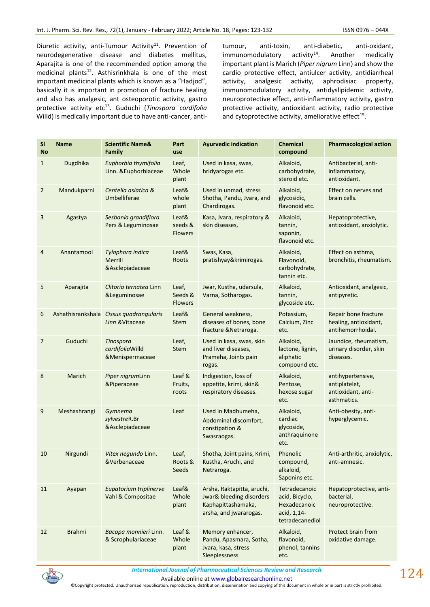Diuretic activity, anti-Tumour Activity<sup>11</sup>. Prevention of neurodegenerative disease and diabetes mellitus, Aparajita is one of the recommended option among the medicinal plants<sup>12</sup>. Asthisrinkhala is one of the most important medicinal plants which is known as a "Hadjod", basically it is important in promotion of fracture healing and also has analgesic, ant osteoporotic activity, gastro protective activity etc<sup>13</sup>. Guduchi (*Tinospora cordifolia*  Willd) is medically important due to have anti-cancer, antitumour, anti-toxin, anti-diabetic, anti-oxidant,  $immunomodulatory$  activity<sup>14</sup>. Another medically important plant is Marich (*Piper nigrum* Linn) and show the cardio protective effect, antiulcer activity, antidiarrheal activity, analgesic activity, aphrodisiac property, immunomodulatory activity, antidyslipidemic activity, neuroprotective effect, anti-inflammatory activity, gastro protective activity, antioxidant activity, radio protective and cytoprotective activity, ameliorative effect $^{15}$ .

| <b>SI</b><br><b>No</b> | <b>Name</b>       | <b>Scientific Name&amp;</b><br>Family                 | Part<br>use                        | <b>Ayurvedic indication</b>                                                                            | <b>Chemical</b><br>compound                                                       | <b>Pharmacological action</b>                                           |
|------------------------|-------------------|-------------------------------------------------------|------------------------------------|--------------------------------------------------------------------------------------------------------|-----------------------------------------------------------------------------------|-------------------------------------------------------------------------|
| $\mathbf{1}$           | Dugdhika          | Euphorbia thymifolia<br>Linn. & Euphorbiaceae         | Leaf,<br>Whole<br>plant            | Used in kasa, swas,<br>hridyarogas etc.                                                                | Alkaloid,<br>carbohydrate,<br>steroid etc.                                        | Antibacterial, anti-<br>inflammatory,<br>antioxidant.                   |
| $\overline{2}$         | Mandukparni       | Centella asiatica &<br>Umbelliferae                   | Leaf&<br>whole<br>plant            | Used in unmad, stress<br>Shotha, Pandu, Jvara, and<br>Chardirogas.                                     | Alkaloid,<br>glycosidic,<br>flavonoid etc.                                        | Effect on nerves and<br>brain cells.                                    |
| 3                      | Agastya           | Sesbania grandiflora<br>Pers & Leguminosae            | Leaf&<br>seeds &<br><b>Flowers</b> | Kasa, Jvara, respiratory &<br>skin diseases,                                                           | Alkaloid,<br>tannin,<br>saponin,<br>flavonoid etc.                                | Hepatoprotective,<br>antioxidant, anxiolytic.                           |
| 4                      | Anantamool        | Tylophora indica<br><b>Merrill</b><br>&Asclepiadaceae | Leaf&<br>Roots                     | Swas, Kasa,<br>pratishyay&krimirogas.                                                                  | Alkaloid,<br>Flavonoid,<br>carbohydrate,<br>tannin etc.                           | Effect on asthma,<br>bronchitis, rheumatism.                            |
| 5                      | Aparajita         | Clitoria ternatea Linn<br>&Leguminosae                | Leaf,<br>Seeds &<br><b>Flowers</b> | Jwar, Kustha, udarsula,<br>Varna, Sotharogas.                                                          | Alkaloid,<br>tannin,<br>glycoside etc.                                            | Antioxidant, analgesic,<br>antipyretic.                                 |
| 6                      | Ashathisrankshala | Cissus quadrangularis<br>Linn & Vitaceae              | Leaf&<br><b>Stem</b>               | General weakness,<br>diseases of bones, bone<br>fracture & Netraroga.                                  | Potassium,<br>Calcium, Zinc<br>etc.                                               | Repair bone fracture<br>healing, antioxidant,<br>antihemorrhoidal.      |
| 7                      | Guduchi           | Tinospora<br>cordifoliaWilld<br>&Menispermaceae       | Leaf,<br>Stem                      | Used in kasa, swas, skin<br>and liver diseases,<br>Prameha, Joints pain<br>rogas.                      | Alkaloid,<br>lactone, lignin,<br>aliphatic<br>compound etc.                       | Jaundice, rheumatism,<br>urinary disorder, skin<br>diseases.            |
| 8                      | Marich            | Piper nigrumLinn<br>&Piperaceae                       | Leaf &<br>Fruits,<br>roots         | Indigestion, loss of<br>appetite, krimi, skin&<br>respiratory diseases.                                | Alkaloid,<br>Pentose,<br>hexose sugar<br>etc.                                     | antihypertensive,<br>antiplatelet,<br>antioxidant, anti-<br>asthmatics. |
| 9                      | Meshashrangi      | Gymnema<br>sylvestreR.Br<br>&Asclepiadaceae           | Leaf                               | Used in Madhumeha,<br>Abdominal discomfort,<br>constipation &<br>Swasraogas.                           | Alkaloid,<br>cardiac<br>glycoside,<br>anthraquinone<br>etc.                       | Anti-obesity, anti-<br>hyperglycemic.                                   |
| 10                     | Nirgundi          | Vitex negundo Linn.<br>&Verbenaceae                   | Leaf,<br>Roots &<br>Seeds          | Shotha, Joint pains, Krimi,<br>Kustha, Aruchi, and<br>Netraroga.                                       | Phenolic<br>compound,<br>alkaloid,<br>Saponins etc.                               | Anti-arthritic, anxiolytic,<br>anti-amnesic.                            |
| 11                     | Ayapan            | Eupatorium triplinerve<br>Vahl & Compositae           | Leaf&<br>Whole<br>plant            | Arsha, Raktapitta, aruchi,<br>Jwar& bleeding disorders<br>Kaphapittashamaka,<br>arsha, and jwararogas. | Tetradecanoic<br>acid, Bicyclo,<br>Hexadecanoic<br>acid, 1,14-<br>tetradecanediol | Hepatoprotective, anti-<br>bacterial,<br>neuroprotective.               |
| 12                     | <b>Brahmi</b>     | Bacopa monnieri Linn.<br>& Scrophulariaceae           | Leaf &<br>Whole<br>plant           | Memory enhancer,<br>Pandu, Apasmara, Sotha,<br>Jvara, kasa, stress<br>Sleeplessness                    | Alkaloid,<br>flavonoid,<br>phenol, tannins<br>etc.                                | Protect brain from<br>oxidative damage.                                 |



Available online a[t www.globalresearchonline.net](http://www.globalresearchonline.net/)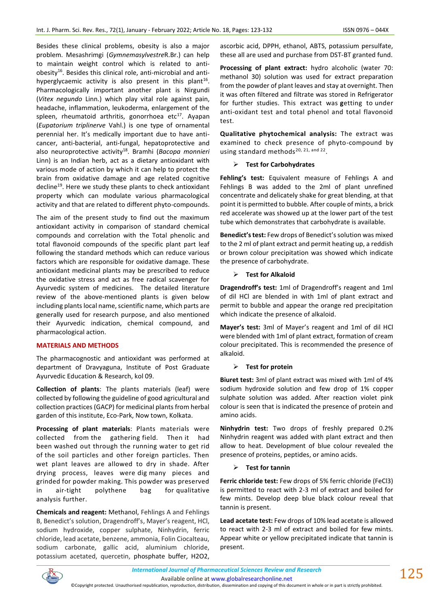Besides these clinical problems, obesity is also a major problem. Mesashrimgi (*Gymnemasylvestre*R.Br.) can help to maintain weight control which is related to antiobesity<sup>16</sup>. Besides this clinical role, anti-microbial and antihyperglycaemic activity is also present in this plant<sup>16</sup>. Pharmacologically important another plant is Nirgundi (*Vitex negundo* Linn.) which play vital role against pain, headache, inflammation, leukoderma, enlargement of the spleen, rheumatoid arthritis, gonorrhoea etc $^{17}$ . Ayapan (*Eupatorium triplinerve* Vahl.) is one type of ornamental perennial her. It's medically important due to have anticancer, anti-bacterial, anti-fungal, hepatoprotective and also neuroprotective activity<sup>18</sup>. Bramhi (*Bacopa monnieri*  Linn) is an Indian herb, act as a dietary antioxidant with various mode of action by which it can help to protect the brain from oxidative damage and age related cognitive decline<sup>19</sup>. Here we study these plants to check antioxidant property which can modulate various pharmacological activity and that are related to different phyto-compounds.

The aim of the present study to find out the maximum antioxidant activity in comparison of standard chemical compounds and correlation with the Total phenolic and total flavonoid compounds of the specific plant part leaf following the standard methods which can reduce various factors which are responsible for oxidative damage. These antioxidant medicinal plants may be prescribed to reduce the oxidative stress and act as free radical scavenger for Ayurvedic system of medicines. The detailed literature review of the above-mentioned plants is given below including plants local name, scientific name, which parts are generally used for research purpose, and also mentioned their Ayurvedic indication, chemical compound, and pharmacological action.

# **MATERIALS AND METHODS**

The pharmacognostic and antioxidant was performed at department of Dravyaguna, Institute of Post Graduate Ayurvedic Education & Research, kol 09.

**Collection of plants**: The plants materials (leaf) were collected by following the guideline of good agricultural and collection practices (GACP) for medicinal plants from herbal garden of this institute, Eco-Park, Now town, Kolkata.

**Processing of plant materials**: Plants materials were collected from the gathering field. Then it had been washed out through the running water to get rid of the soil particles and other foreign particles. Then wet plant leaves are allowed to dry in shade. After drying process, leaves were dig many pieces and grinded for powder making. This powder was preserved in air-tight polythene bag for qualitative analysis further.

**Chemicals and reagent:** Methanol, Fehlings A and Fehlings B, Benedict's solution, Dragendroff's, Mayer's reagent, HCl, sodium hydroxide, copper sulphate, Ninhydrin, ferric chloride, lead acetate, benzene, ammonia, Folin Ciocalteau, sodium carbonate, gallic acid, aluminium chloride, potassium acetated, quercetin, phosphate buffer, H2O2, ascorbic acid, DPPH, ethanol, ABTS, potassium persulfate, these all are used and purchase from DST-BT granted fund.

**Processing of plant extract:** hydro alcoholic (water 70: methanol 30) solution was used for extract preparation from the powder of plant leaves and stay at overnight. Then it was often filtered and filtrate was stored in Refrigerator for further studies. This extract was **g**etting to under anti-oxidant test and total phenol and total flavonoid test.

**Qualitative phytochemical analysis:** The extract was examined to check presence of phyto-compound by using standard methods<sup>20, 21, and 22</sup>.

### ➢ **Test for Carbohydrates**

**Fehling's test:** Equivalent measure of Fehlings A and Fehlings B was added to the 2ml of plant unrefined concentrate and delicately shake for great blending, at that point it is permitted to bubble. After couple of mints, a brick red accelerate was showed up at the lower part of the test tube which demonstrates that carbohydrate is available.

**Benedict's test:** Few drops of Benedict's solution was mixed to the 2 ml of plant extract and permit heating up, a reddish or brown colour precipitation was showed which indicate the presence of carbohydrate.

### ➢ **Test for Alkaloid**

**Dragendroff's test:** 1ml of Dragendroff's reagent and 1ml of dil HCl are blended in with 1ml of plant extract and permit to bubble and appear the orange red precipitation which indicate the presence of alkaloid.

**Mayer's test:** 3ml of Mayer's reagent and 1ml of dil HCl were blended with 1ml of plant extract, formation of cream colour precipitated. This is recommended the presence of alkaloid.

# ➢ **Test for protein**

**Biuret test:** 3ml of plant extract was mixed with 1ml of 4% sodium hydroxide solution and few drop of 1% copper sulphate solution was added. After reaction violet pink colour is seen that is indicated the presence of protein and amino acids.

**Ninhydrin test:** Two drops of freshly prepared 0.2% Ninhydrin reagent was added with plant extract and then allow to heat. Development of blue colour revealed the presence of proteins, peptides, or amino acids.

#### ➢ **Test for tannin**

**Ferric chloride test:** Few drops of 5% ferric chloride (FeCl3) is permitted to react with 2-3 ml of extract and boiled for few mints. Develop deep blue black colour reveal that tannin is present.

**Lead acetate test:** Few drops of 10% lead acetate is allowed to react with 2-3 ml of extract and boiled for few mints. Appear white or yellow precipitated indicate that tannin is present.



 $125$ 

Available online a[t www.globalresearchonline.net](http://www.globalresearchonline.net/) ©Copyright protected. Unauthorised republication, reproduction, distribution, dissemination and copying of this document in whole or in part is strictly prohibited.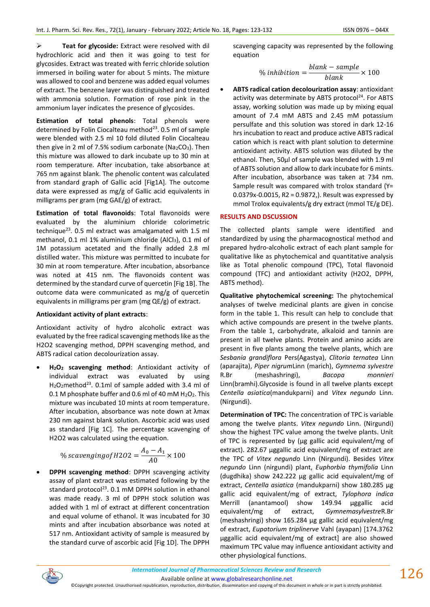➢ **Teat for glycoside:** Extract were resolved with dil hydrochloric acid and then it was going to test for glycosides. Extract was treated with ferric chloride solution immersed in boiling water for about 5 mints. The mixture was allowed to cool and benzene was added equal volumes of extract. The benzene layer was distinguished and treated with ammonia solution. Formation of rose pink in the ammonium layer indicates the presence of glycosides.

**Estimation of total phenols**: Total phenols were determined by Folin Ciocalteau method $^{23}$ . 0.5 ml of sample were blended with 2.5 ml 10 fold diluted Folin Ciocalteau then give in 2 ml of 7.5% sodium carbonate ( $Na<sub>2</sub>CO<sub>3</sub>$ ). Then this mixture was allowed to dark incubate up to 30 min at room temperature. After incubation, take absorbance at 765 nm against blank. The phenolic content was calculated from standard graph of Gallic acid [Fig1A]. The outcome data were expressed as mg/g of Gallic acid equivalents in milligrams per gram (mg GAE/g) of extract.

**Estimation of total flavonoids**: Total flavonoids were evaluated by the aluminium chloride colorimetric technique<sup>23</sup>. 0.5 ml extract was amalgamated with 1.5 ml methanol, 0.1 ml 1% aluminium chloride (AlCl3), 0.1 ml of 1M potassium acetated and the finally added 2.8 ml distilled water. This mixture was permitted to incubate for 30 min at room temperature. After incubation, absorbance was noted at 415 nm. The flavonoids content was determined by the standard curve of quercetin [Fig 1B]. The outcome data were communicated as mg/g of quercetin equivalents in milligrams per gram (mg QE/g) of extract.

# **Antioxidant activity of plant extracts**:

Antioxidant activity of hydro alcoholic extract was evaluated by the free radical scavenging methods like as the H2O2 scavenging method, DPPH scavenging method, and ABTS radical cation decolourization assay.

• **H2O<sup>2</sup> scavenging method**: Antioxidant activity of individual extract was evaluated by using H<sub>2</sub>O<sub>2</sub>method<sup>23</sup>. 0.1ml of sample added with 3.4 ml of 0.1 M phosphate buffer and 0.6 ml of 40 mM  $H_2O_2$ . This mixture was incubated 10 mints at room temperature. After incubation, absorbance was note down at λmax 230 nm against blank solution. Ascorbic acid was used as standard [Fig 1C]. The percentage scavenging of H2O2 was calculated using the equation.

% scavenging of H2O2 = 
$$
\frac{A_0 - A_1}{A0} \times 100
$$

• **DPPH scavenging method**: DPPH scavenging activity assay of plant extract was estimated following by the standard protocol<sup>23</sup>. 0.1 mM DPPH solution in ethanol was made ready. 3 ml of DPPH stock solution was added with 1 ml of extract at different concentration and equal volume of ethanol. It was incubated for 30 mints and after incubation absorbance was noted at 517 nm. Antioxidant activity of sample is measured by the standard curve of ascorbic acid [Fig 1D]. The DPPH

scavenging capacity was represented by the following equation

$$
\% inhibition = \frac{blank - sample}{blank} \times 100
$$

• **ABTS radical cation decolourization assay**: antioxidant activity was determinate by ABTS protocol<sup>24</sup>. For ABTS assay, working solution was made up by mixing equal amount of 7.4 mM ABTS and 2.45 mM potassium persulfate and this solution was stored in dark 12-16 hrs incubation to react and produce active ABTS radical cation which is react with plant solution to determine antioxidant activity. ABTS solution was diluted by the ethanol. Then, 50μl of sample was blended with 1.9 ml of ABTS solution and allow to dark incubate for 6 mints. After incubation, absorbance was taken at 734 nm. Sample result was compared with trolox standard (Y= 0.0379x-0.0015, R2 = 0.9872,). Result was expressed by mmol Trolox equivalents/g dry extract (mmol TE/g DE).

# **RESULTS AND DSCUSSION**

The collected plants sample were identified and standardized by using the pharmacognostical method and prepared hydro-alcoholic extract of each plant sample for qualitative like as phytochemical and quantitative analysis like as Total phenolic compound (TPC), Total flavonoid compound (TFC) and antioxidant activity (H2O2, DPPH, ABTS method).

**Qualitative phytochemical screening:** The phytochemical analyses of twelve medicinal plants are given in concise form in the table 1. This result can help to conclude that which active compounds are present in the twelve plants. From the table 1, carbohydrate, alkaloid and tannin are present in all twelve plants. Protein and amino acids are present in five plants among the twelve plants, which are *Sesbania grandiflora* Pers(Agastya), *Clitoria ternatea* Linn (aparajita), *Piper nigrum*Linn (marich), *Gymnema sylvestre*  R.Br (meshashringi), *Bacopa monnieri*  Linn(bramhi).Glycoside is found in all twelve plants except *Centella asiatica*(mandukparni) and *Vitex negundo* Linn. (Nirgundi).

**Determination of TPC:** The concentration of TPC is variable among the twelve plants. *Vitex negundo* Linn. (Nirgundi) show the highest TPC value among the twelve plants. Unit of TPC is represented by (μg gallic acid equivalent/mg of extract). 282.67 μggallic acid equivalent/mg of extract are the TPC of *Vitex negundo* Linn (Nirgundi). Besides *Vitex negundo* Linn (nirgundi) plant, *Euphorbia thymifolia* Linn (dugdhika) show 242.222 μg gallic acid equivalent/mg of extract, *Centella asiatica* (mandukparni) show 180.285 μg gallic acid equivalent/mg of extract, *Tylophora indica*  Merrill (anantamool) show 149.94 μggallic acid equivalent/mg of extract, *Gymnemasylvestre*R.Br (meshashringi) show 165.284 μg gallic acid equivalent/mg of extract, *Eupatorium triplinerve* Vahl (ayapan) [174.3762 μggallic acid equivalent/mg of extract] are also showed maximum TPC value may influence antioxidant activity and other physiological functions.



<sup>©</sup>Copyright protected. Unauthorised republication, reproduction, distribution, dissemination and copying of this document in whole or in part is strictly prohibited.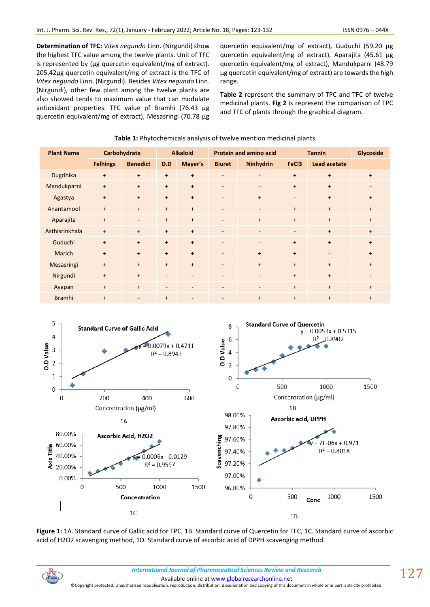**Determination of TFC:** *Vitex negundo* Linn. (Nirgundi) show the highest TFC value among the twelve plants. Unit of TFC is represented by (μg quercetin equivalent/mg of extract). 205.42μg quercetin equivalent/mg of extract is the TFC of *Vitex negundo* Linn. (Nirgundi). Besides *Vitex negundo* Linn. (Nirgundi), other few plant among the twelve plants are also showed tends to maximum value that can modulate antioxidant properties. TFC value pf Bramhi (76.43 μg quercetin equivalent/mg of extract), Mesasringi (70.78 μg

quercetin equivalent/mg of extract), Guduchi (59.20 μg quercetin equivalent/mg of extract), Aparajita (45.61 μg quercetin equivalent/mg of extract), Mandukparni (48.79 μg quercetin equivalent/mg of extract) are towards the high range.

**Table 2** represent the summary of TPC and TFC of twelve medicinal plants. **Fig 2** is represent the comparison of TPC and TFC of plants through the graphical diagram.

| <b>Plant Name</b> | Carbohydrate    |                          | <b>Alkaloid</b>          |                          | <b>Protein and amino acid</b> |                          | <b>Tannin</b>            |                          | Glycoside                |
|-------------------|-----------------|--------------------------|--------------------------|--------------------------|-------------------------------|--------------------------|--------------------------|--------------------------|--------------------------|
|                   | <b>Felhings</b> | <b>Benedict</b>          | D.D                      | Mayer's                  | <b>Biuret</b>                 | Ninhydrin                | FeC <sub>3</sub>         | <b>Lead acetate</b>      |                          |
| Dugdhika          | $+$             | $+$                      | $+$                      | $+$                      | $\overline{a}$                | $\overline{\phantom{a}}$ | $+$                      | $+$                      | $+$                      |
| Mandukparni       | $+$             | $+$                      | $+$                      | $+$                      | $\overline{a}$                | $\overline{\phantom{a}}$ | $+$                      | $+$                      | $\overline{\phantom{a}}$ |
| Agastya           | $+$             | $+$                      | $+$                      | $+$                      | $\overline{\phantom{a}}$      | $+$                      | $\overline{\phantom{a}}$ | $+$                      | $+$                      |
| Anantamool        | $+$             | $+$                      | $+$                      | $+$                      | $\overline{\phantom{a}}$      | $\overline{\phantom{a}}$ | $+$                      | $+$                      | $+$                      |
| Aparajita         | $+$             | $\overline{\phantom{a}}$ | $+$                      | $+$                      | $\blacksquare$                | $+$                      | $+$                      | $+$                      | $+$                      |
| Asthisrinkhala    | $+$             | $+$                      | $+$                      | $\ddot{}$                | $\overline{\phantom{a}}$      | $\overline{\phantom{a}}$ | $\overline{\phantom{a}}$ | $+$                      | $+$                      |
| Guduchi           | $+$             | $+$                      | $+$                      | $+$                      | $\overline{\phantom{a}}$      | $\overline{\phantom{a}}$ | $+$                      | $+$                      | $+$                      |
| Marich            | $+$             | $+$                      | $+$                      | $\ddot{}$                | $\blacksquare$                | $+$                      | $+$                      | $\overline{\phantom{a}}$ | $+$                      |
| Mesasringi        | $+$             | $+$                      | $+$                      | $+$                      | $+$                           | $+$                      | $+$                      | $+$                      | $+$                      |
| Nirgundi          | $+$             | $+$                      | $\overline{\phantom{a}}$ | $\overline{\phantom{a}}$ | $\overline{\phantom{a}}$      | $\overline{\phantom{a}}$ | $+$                      | $+$                      | $\overline{\phantom{0}}$ |
| Ayapan            | $+$             | $+$                      | $\overline{\phantom{a}}$ | $\overline{\phantom{a}}$ | $\overline{\phantom{a}}$      | $\overline{\phantom{a}}$ | $+$                      | $+$                      | $+$                      |
| <b>Bramhi</b>     | $+$             | $\overline{\phantom{m}}$ | $+$                      | $\overline{\phantom{a}}$ | $\overline{\phantom{0}}$      | $\ddot{}$                | $+$                      | $\ddot{}$                | $+$                      |

### **Table 1:** Phytochemicals analysis of twelve mention medicinal plants



**Figure 1:** 1A. Standard curve of Gallic acid for TPC, 1B. Standard curve of Quercetin for TFC, 1C. Standard curve of ascorbic acid of H2O2 scavenging method, 1D. Standard curve of ascorbic acid of DPPH scavenging method.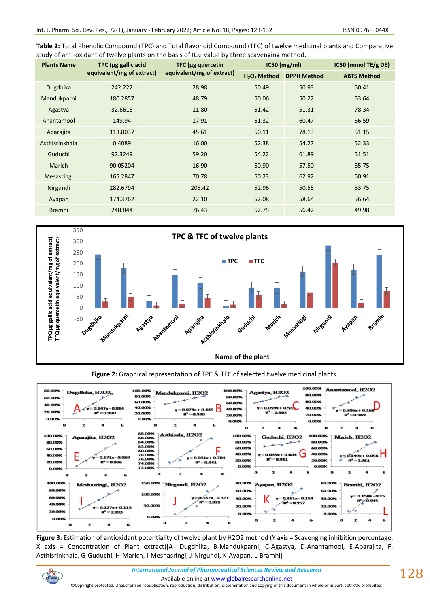| Table 2: Total Phenolic Compound (TPC) and Total flavonoid Compound (TFC) of twelve medicinal plants and Comparative |
|----------------------------------------------------------------------------------------------------------------------|
| study of anti-oxidant of twelve plants on the basis of IC <sub>50</sub> value by three scavenging method.            |

| <b>Plants Name</b> | TPC (µg gallic acid       | TFC (µg quercetin         |                                      | $IC50$ (mg/ml)     | $IC50$ (mmol TE/g DE) |
|--------------------|---------------------------|---------------------------|--------------------------------------|--------------------|-----------------------|
|                    | equivalent/mg of extract) | equivalent/mg of extract) | H <sub>2</sub> O <sub>2</sub> Method | <b>DPPH Method</b> | <b>ABTS Method</b>    |
| Dugdhika           | 242.222                   | 28.98                     | 50.49                                | 50.93              | 50.41                 |
| Mandukparni        | 180.2857                  | 48.79                     | 50.06                                | 50.22              | 53.64                 |
| Agastya            | 32.6616                   | 11.80                     | 51.42                                | 51.31              | 78.34                 |
| Anantamool         | 149.94                    | 17.91                     | 51.32                                | 60.47              | 56.59                 |
| Aparajita          | 113.8037                  | 45.61                     | 50.11                                | 78.13              | 51.15                 |
| Asthisrinkhala     | 0.4089                    | 16.00                     | 52.38                                | 54.27              | 52.33                 |
| Guduchi            | 92.3249                   | 59.20                     | 54.22                                | 61.89              | 51.51                 |
| <b>Marich</b>      | 90.05204                  | 16.90                     | 50.90                                | 57.50              | 55.75                 |
| Mesasringi         | 165.2847                  | 70.78                     | 50.23                                | 62.92              | 50.91                 |
| Nirgundi           | 282.6794                  | 205.42                    | 52.96                                | 50.55              | 53.75                 |
| Ayapan             | 174.3762                  | 22.10                     | 52.08                                | 58.64              | 56.64                 |
| <b>Bramhi</b>      | 240.844                   | 76.43                     | 52.75                                | 56.42              | 49.98                 |



**Figure 2:** Graphical representation of TPC & TFC of selected twelve medicinal plants.



**Figure 3:** Estimation of antioxidant potentiality of twelve plant by H2O2 method (Y axis = Scavenging inhibition percentage, X axis = Concentration of Plant extract)[A- Dugdhika, B-Mandukparni, C-Agastya, D-Anantamool, E-Aparajita, F-Asthisrinkhala, G-Guduchi, H-Marich, I-Meshasringi, J-Nirgundi, K-Ayapan, L-Bramhi]

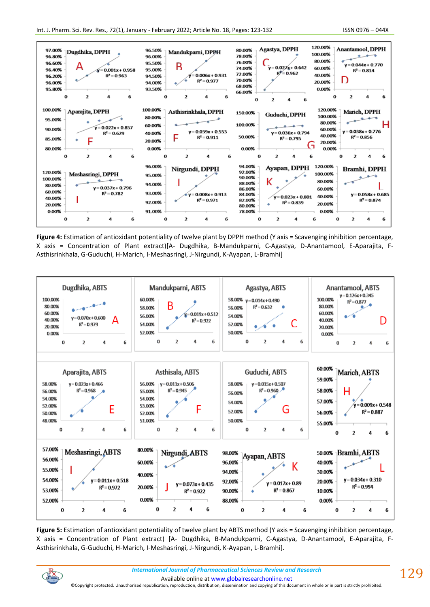

**Figure 4:** Estimation of antioxidant potentiality of twelve plant by DPPH method (Y axis = Scavenging inhibition percentage, X axis = Concentration of Plant extract)[A- Dugdhika, B-Mandukparni, C-Agastya, D-Anantamool, E-Aparajita, F-Asthisrinkhala, G-Guduchi, H-Marich, I-Meshasringi, J-Nirgundi, K-Ayapan, L-Bramhi]



**Figure 5:** Estimation of antioxidant potentiality of twelve plant by ABTS method (Y axis = Scavenging inhibition percentage, X axis = Concentration of Plant extract) [A- Dugdhika, B-Mandukparni, C-Agastya, D-Anantamool, E-Aparajita, F-Asthisrinkhala, G-Guduchi, H-Marich, I-Meshasringi, J-Nirgundi, K-Ayapan, L-Bramhi].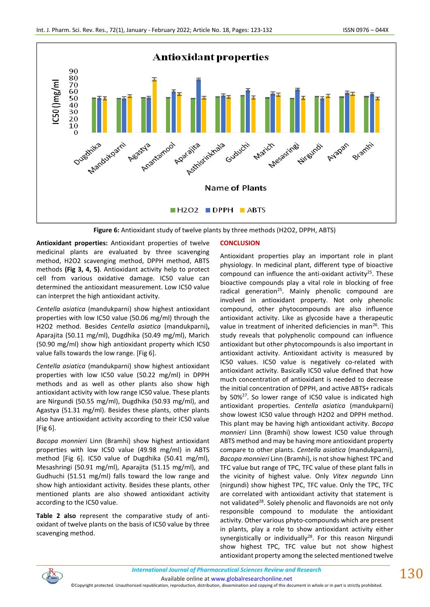

**Figure 6:** Antioxidant study of twelve plants by three methods (H2O2, DPPH, ABTS)

**Antioxidant properties:** Antioxidant properties of twelve medicinal plants are evaluated by three scavenging method, H2O2 scavenging method, DPPH method, ABTS methods **(Fig 3, 4, 5)**. Antioxidant activity help to protect cell from various oxidative damage. IC50 value can determined the antioxidant measurement. Low IC50 value can interpret the high antioxidant activity.

*Centella asiatica* (mandukparni) show highest antioxidant properties with low IC50 value (50.06 mg/ml) through the H2O2 method. Besides *Centella asiatica* (mandukparni)**,**  Aparajita (50.11 mg/ml), Dugdhika (50.49 mg/ml), Marich (50.90 mg/ml) show high antioxidant property which IC50 value falls towards the low range. [Fig 6].

*Centella asiatica* (mandukparni) show highest antioxidant properties with low IC50 value (50.22 mg/ml) in DPPH methods and as well as other plants also show high antioxidant activity with low range IC50 value. These plants are Nirgundi (50.55 mg/ml), Dugdhika (50.93 mg/ml), and Agastya (51.31 mg/ml). Besides these plants, other plants also have antioxidant activity according to their IC50 value [Fig 6].

*Bacopa monnieri* Linn (Bramhi) show highest antioxidant properties with low IC50 value (49.98 mg/ml) in ABTS method [Fig 6]. IC50 value of Dugdhika (50.41 mg/ml), Mesashringi (50.91 mg/ml), Aparajita (51.15 mg/ml), and Gudhuchi (51.51 mg/ml) falls toward the low range and show high antioxidant activity. Besides these plants, other mentioned plants are also showed antioxidant activity according to the IC50 value.

**Table 2 also** represent the comparative study of antioxidant of twelve plants on the basis of IC50 value by three scavenging method.

# **CONCLUSION**

Antioxidant properties play an important role in plant physiology. In medicinal plant, different type of bioactive compound can influence the anti-oxidant activity<sup>25</sup>. These bioactive compounds play a vital role in blocking of free radical generation<sup>25</sup>. Mainly phenolic compound are involved in antioxidant property. Not only phenolic compound, other phytocompounds are also influence antioxidant activity. Like as glycoside have a therapeutic value in treatment of inherited deficiencies in man<sup>26</sup>. This study reveals that polyphenolic compound can influence antioxidant but other phytocompounds is also important in antioxidant activity. Antioxidant activity is measured by IC50 values. IC50 value is negatively co-related with antioxidant activity. Basically IC50 value defined that how much concentration of antioxidant is needed to decrease the initial concentration of DPPH, and active ABTS+ radicals by 50%<sup>27</sup>. So lower range of IC50 value is indicated high antioxidant properties. *Centella asiatica* (mandukparni) show lowest IC50 value through H2O2 and DPPH method. This plant may be having high antioxidant activity. *Bacopa monnieri* Linn (Bramhi) show lowest IC50 value through ABTS method and may be having more antioxidant property compare to other plants. *Centella asiatica* (mandukparni), *Bacopa monnieri* Linn (Bramhi), is not show highest TPC and TFC value but range of TPC, TFC value of these plant falls in the vicinity of highest value. Only *Vitex negundo* Linn (nirgundi) show highest TPC, TFC value. Only the TPC, TFC are correlated with antioxidant activity that statement is not validated<sup>28</sup>. Solely phenolic and flavonoids are not only responsible compound to modulate the antioxidant activity. Other various phyto-compounds which are present in plants, play a role to show antioxidant activity either synergistically or individually<sup>28</sup>. For this reason Nirgundi show highest TPC, TFC value but not show highest antioxidant property among the selected mentioned twelve



Available online a[t www.globalresearchonline.net](http://www.globalresearchonline.net/)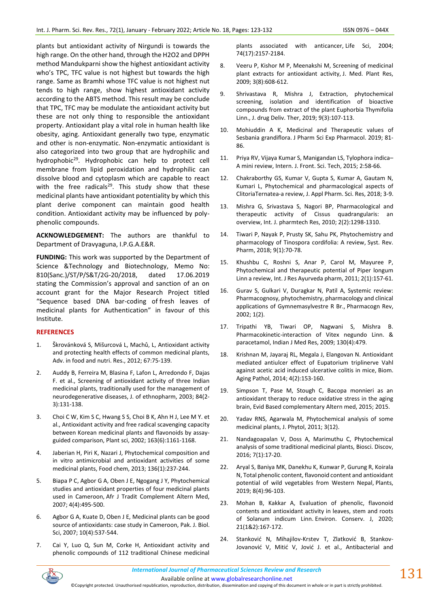plants but antioxidant activity of Nirgundi is towards the high range. On the other hand, through the H2O2 and DPPH method Mandukparni show the highest antioxidant activity who's TPC, TFC value is not highest but towards the high range. Same as Bramhi whose TFC value is not highest nut tends to high range, show highest antioxidant activity according to the ABTS method. This result may be conclude that TPC, TFC may be modulate the antioxidant activity but these are not only thing to responsible the antioxidant property. Antioxidant play a vital role in human health like obesity, aging. Antioxidant generally two type, enzymatic and other is non-enzymatic. Non-enzymatic antioxidant is also categorized into two group that are hydrophilic and hydrophobic<sup>29</sup>. Hydrophobic can help to protect cell membrane from lipid peroxidation and hydrophilic can dissolve blood and cytoplasm which are capable to react with the free radicals $29$ . This study show that these medicinal plants have antioxidant potentiality by which this plant derive component can maintain good health condition. Antioxidant activity may be influenced by polyphenolic compounds.

**ACKNOWLEDGEMENT:** The authors are thankful to Department of Dravyaguna, I.P.G.A.E&R.

**FUNDING:** This work was supported by the Department of Science &Technology and Biotechnology, Memo No: 810(Sanc.)/ST/P/S&T/2G-20/2018, dated 17.06.2019 stating the Commission's approval and sanction of an on account grant for the Major Research Project titled "Sequence based DNA bar-coding of fresh leaves of medicinal plants for Authentication" in favour of this Institute.

#### **REFERENCES**

- 1. Škrovánková S, Mišurcová L, Machů, L, Antioxidant activity and protecting health effects of common medicinal plants, Adv. in food and nutri. Res., 2012; 67:75-139.
- 2. Auddy B, Ferreira M, Blasina F, Lafon L, Arredondo F, Dajas F. et al., Screening of antioxidant activity of three Indian medicinal plants, traditionally used for the management of neurodegenerative diseases, J. of ethnopharm, 2003; 84(2- 3):131-138.
- 3. Choi C W, Kim S C, Hwang S S, Choi B K, Ahn H J, Lee M Y. et al., Antioxidant activity and free radical scavenging capacity between Korean medicinal plants and flavonoids by assayguided comparison, Plant sci, 2002; 163(6):1161-1168.
- 4. Jaberian H, Piri K, Nazari J, Phytochemical composition and in vitro antimicrobial and antioxidant activities of some medicinal plants, Food chem, 2013; 136(1):237-244.
- 5. Biapa P C, Agbor G A, Oben J E, Ngogang J Y, Phytochemical studies and antioxidant properties of four medicinal plants used in Cameroon, Afr J Tradit Complement Altern Med, 2007; 4(4):495-500.
- 6. Agbor G A, Kuate D, Oben J E, Medicinal plants can be good source of antioxidants: case study in Cameroon, Pak. J. Biol. Sci, 2007; 10(4):537-544.
- 7. Cai Y, Luo Q, Sun M, Corke H, Antioxidant activity and phenolic compounds of 112 traditional Chinese medicinal

plants associated with anticancer, Life Sci, 2004; 74(17):2157-2184.

- 8. Veeru P, Kishor M P, Meenakshi M, Screening of medicinal plant extracts for antioxidant activity, J. Med. Plant Res, 2009; 3(8):608-612.
- 9. Shrivastava R, Mishra J, Extraction, phytochemical screening, isolation and identification of bioactive compounds from extract of the plant Euphorbia Thymifolia Linn., J. drug Deliv. Ther, 2019; 9(3):107-113.
- 10. Mohiuddin A K, Medicinal and Therapeutic values of Sesbania grandiflora. J Pharm Sci Exp Pharmacol. 2019; 81- 86.
- 11. Priya RV, Vijaya Kumar S, Manigandan LS, Tylophora indica– A mini review, Intern. J. Front. Sci. Tech, 2015; 2:58-66.
- 12. Chakraborthy GS, Kumar V, Gupta S, Kumar A, Gautam N, Kumari L, Phytochemical and pharmacological aspects of ClitoriaTernatea-a review, J. Appl Pharm. Sci. Res, 2018; 3-9.
- 13. Mishra G, Srivastava S, Nagori BP, Pharmacological and therapeutic activity of Cissus quadrangularis: an overview, Int. J. pharmtech Res, 2010; 2(2):1298-1310.
- 14. Tiwari P, Nayak P, Prusty SK, Sahu PK, Phytochemistry and pharmacology of Tinospora cordifolia: A review, Syst. Rev. Pharm, 2018; 9(1):70-78.
- 15. Khushbu C, Roshni S, Anar P, Carol M, Mayuree P, Phytochemical and therapeutic potential of Piper longum Linn a review, Int. J Res Ayurveda pharm, 2011; 2(1):157-61.
- 16. Gurav S, Gulkari V, Duragkar N, Patil A, Systemic review: Pharmacognosy, phytochemistry, pharmacology and clinical applications of Gymnemasylvestre R Br., Pharmacogn Rev, 2002; 1(2).
- 17. Tripathi YB, Tiwari OP, Nagwani S, Mishra B. Pharmacokinetic-interaction of Vitex negundo Linn. & paracetamol, Indian J Med Res, 2009; 130(4):479.
- 18. Krishnan M, Jayaraj RL, Megala J, Elangovan N. Antioxidant mediated antiulcer effect of Eupatorium triplinerve Vahl against acetic acid induced ulcerative colitis in mice, Biom. Aging Pathol, 2014; 4(2):153-160.
- 19. Simpson T, Pase M, Stough C, Bacopa monnieri as an antioxidant therapy to reduce oxidative stress in the aging brain, Evid Based complementary Altern med, 2015; 2015.
- 20. Yadav RNS, Agarwala M, Phytochemical analysis of some medicinal plants, J. Phytol, 2011; 3(12).
- 21. Nandagoapalan V, Doss A, Marimuthu C, Phytochemical analysis of some traditional medicinal plants, Biosci. Discov, 2016; 7(1):17-20.
- 22. Aryal S, Baniya MK, Danekhu K, Kunwar P, Gurung R, Koirala N, Total phenolic content, flavonoid content and antioxidant potential of wild vegetables from Western Nepal, Plants, 2019; 8(4):96-103.
- 23. Mohan B, Kakkar A, Evaluation of phenolic, flavonoid contents and antioxidant activity in leaves, stem and roots of Solanum indicum Linn. Environ. Conserv. J, 2020; 21(1&2):167-172.
- 24. Stanković N, Mihajilov-Krstev T, Zlatković B, Stankov-Jovanović V, Mitić V, Jović J. et al., Antibacterial and

Available online a[t www.globalresearchonline.net](http://www.globalresearchonline.net/)